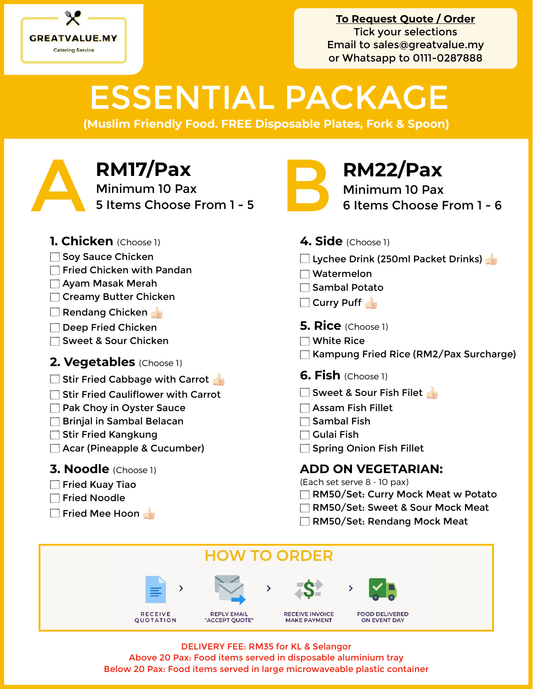

# ESSENTIAL PACKAGE

**(Muslim Friendly Food. FREE Disposable Plates, Fork & Spoon)**

**RM17/Pax**<br>Minimum 10 Pax<br>5 Items Choose From 1 - 5 Minimum 10 Pax **RM17/Pax**<br>
Minimum 10 Pax<br>
5 Items Choose From 1 - 5<br> **Exercise Section 1 - 5** 



Minimum 10 Pax 6 Items Choose From 1 - 6

- **1. Chicken** (Choose 1)
- Soy Sauce Chicken
- $\Box$  Fried Chicken with Pandan
- Ayam Masak Merah
- Creamy Butter Chicken
- Rendang Chicken
- Deep Fried Chicken
- □ Sweet & Sour Chicken
- **2. Vegetables** (Choose 1)
- $\Box$  Stir Fried Cabbage with Carrot
- $\Box$  Stir Fried Cauliflower with Carrot
- **Pak Choy in Oyster Sauce**
- **Brinjal in Sambal Belacan**
- $\Box$  Stir Fried Kangkung
- Acar (Pineapple & Cucumber)

## **3. Noodle** (Choose 1)

- $\Box$  Fried Kuav Tiao
- Fried Noodle
- Fried Mee Hoon

## **4. Side** (Choose 1)

- Lychee Drink (250ml Packet Drinks)
- Watermelon
- $\Box$  Sambal Potato
- $\Box$  Curry Puff
- **5. Rice** (Choose 1)
- White Rice
- Kampung Fried Rice (RM2/Pax Surcharge)
- **6. Fish** (Choose 1)
- Sweet & Sour Fish Filet
- Assam Fish Fillet
- $\Box$  Sambal Fish
- $\Box$  Gulai Fish
- Spring Onion Fish Fillet

# **ADD ON VEGETARIAN:**

(Each set serve 8 - 10 pax)

- RM50/Set: Curry Mock Meat w Potato
- RM50/Set: Sweet & Sour Mock Meat
- RM50/Set: Rendang Mock Meat



DELIVERY FEE: RM35 for KL & Selangor Above 20 Pax: Food items served in disposable aluminium tray Below 20 Pax: Food items served in large microwaveable plastic container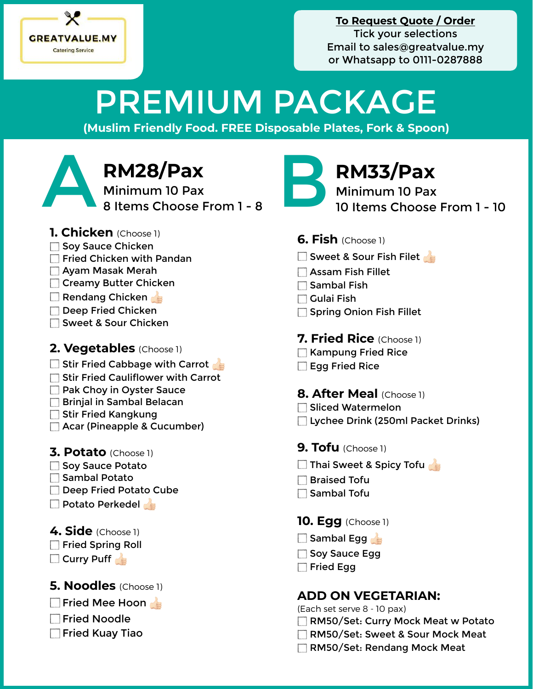

# PREMIUM PACKAGE

**(Muslim Friendly Food. FREE Disposable Plates, Fork & Spoon)**

**RM28/Pax**<br>Minimum 10 Pax<br>8 Items Choose From 1 - 8 Minimum 10 Pax RM28/Pax<br>Minimum 10 Pax<br>8 Items Choose From 1 - 8 B **RM33/Pax**<br>10 Items Choose From 1 - 8

- **1. Chicken** (Choose 1)
- Soy Sauce Chicken
- Fried Chicken with Pandan
- Ayam Masak Merah
- **Creamy Butter Chicken**
- Rendang Chicken
- Deep Fried Chicken
- Sweet & Sour Chicken

## **2. Vegetables** (Choose 1)

- $\Box$  Stir Fried Cabbage with Carrot
- Stir Fried Cauliflower with Carrot
- **Pak Choy in Oyster Sauce**
- **Brinjal in Sambal Belacan**
- Stir Fried Kangkung
- Acar (Pineapple & Cucumber)
- **3. Potato** (Choose 1)
- Soy Sauce Potato
- $\Box$  Sambal Potato
- Deep Fried Potato Cube
- **Potato Perkedel**
- **4. Side** (Choose 1)
- Fried Spring Roll
- Curry Puff

## **5. Noodles** (Choose 1)

- Fried Mee Hoon
- **Fried Noodle**
- **Fried Kuay Tiao**



Minimum 10 Pax 10 Items Choose From 1 - 10

- **6. Fish** (Choose 1)
- Sweet & Sour Fish Filet
- Assam Fish Fillet
- $\Box$  Sambal Fish
- $\Box$  Gulai Fish
- Spring Onion Fish Fillet

## **7. Fried Rice** (Choose 1)

- Kampung Fried Rice
- **Egg Fried Rice**

**8. After Meal** (Choose 1)

- **□ Sliced Watermelon**
- □ Lychee Drink (250ml Packet Drinks)
- **9. Tofu** (Choose 1)
- Thai Sweet & Spicy Tofu
- $\Box$  Braised Tofu
- $\Box$  Sambal Tofu

**10. Egg** (Choose 1)

- $\Box$  Sambal Egg
- Soy Sauce Egg
- $\Box$  Fried Egg

## **ADD ON VEGETARIAN:**

(Each set serve 8 - 10 pax)

- RM50/Set: Curry Mock Meat w Potato
- RM50/Set: Sweet & Sour Mock Meat
- RM50/Set: Rendang Mock Meat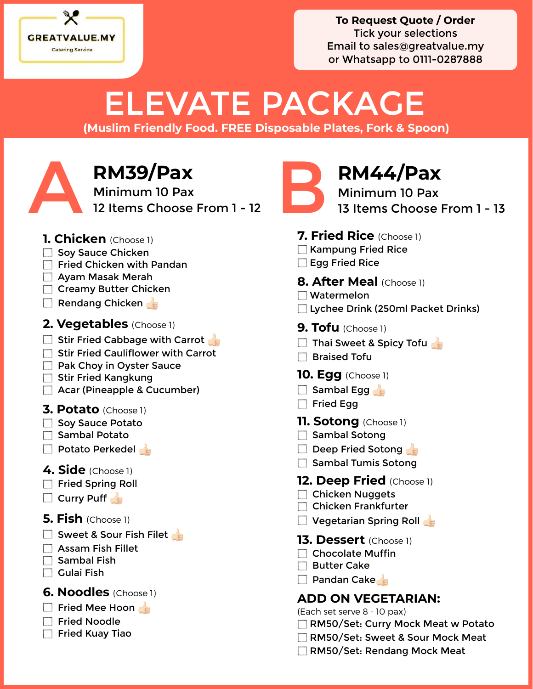

# ELEVATE PACKAGE

**(Muslim Friendly Food. FREE Disposable Plates, Fork & Spoon)**

**RM39/Pax**<br>Minimum 10 Pax<br>12 Items Choose From 1 - 12 Minimum 10 Pax RM39/Pax<br>
Minimum 10 Pax<br>
12 Items Choose From 1 - 12 B 8 13 Items Choose

- **1. Chicken** (Choose 1)
- $\Box$  Sov Sauce Chicken
- $\Box$  Fried Chicken with Pandan
- Ayam Masak Merah
- **Creamy Butter Chicken**
- $\Box$  Rendang Chicken
- **2. Vegetables** (Choose 1)
- $\Box$  Stir Fried Cabbage with Carrot
- $\Box$  Stir Fried Cauliflower with Carrot
- **Pak Choy in Oyster Sauce**
- Stir Fried Kangkung
- Acar (Pineapple & Cucumber)
- **3. Potato** (Choose 1)
- Soy Sauce Potato
- Sambal Potato
- $\Box$  Potato Perkedel
- **4. Side** (Choose 1)
- Fried Spring Roll
- $\Box$  Curry Puff
- **5. Fish** (Choose 1)
- Sweet & Sour Fish Filet
- Assam Fish Fillet
- $\Box$  Sambal Fish
- $\Box$  Gulai Fish
- **6. Noodles** (Choose 1)
- Fried Mee Hoon
- Fried Noodle
- $\Box$  Fried Kuay Tiao



Minimum 10 Pax 13 Items Choose From 1 - 13

- **7. Fried Rice** (Choose 1)
- **Kampung Fried Rice**
- Egg Fried Rice

**8. After Meal** (Choose 1)

- Watermelon
- Lychee Drink (250ml Packet Drinks)
- **9. Tofu** (Choose 1)
- Thai Sweet & Spicy Tofu
- **Braised Tofu**
- **10. Egg** (Choose 1)
- $\Box$  Sambal Egg
- Fried Egg
- **11. Sotong** (Choose 1)
- Sambal Sotong
- $\Box$  Deep Fried Sotong
- Sambal Tumis Sotong
- **12. Deep Fried** (Choose 1)
- □ Chicken Nuggets
- Chicken Frankfurter
- $\Box$  Vegetarian Spring Roll
- **13. Dessert** (Choose 1)
- □ Chocolate Muffin
- $\Box$  Butter Cake
- $\Box$  Pandan Cake

# **ADD ON VEGETARIAN:**

(Each set serve 8 - 10 pax)

- RM50/Set: Curry Mock Meat w Potato
- RM50/Set: Sweet & Sour Mock Meat
- RM50/Set: Rendang Mock Meat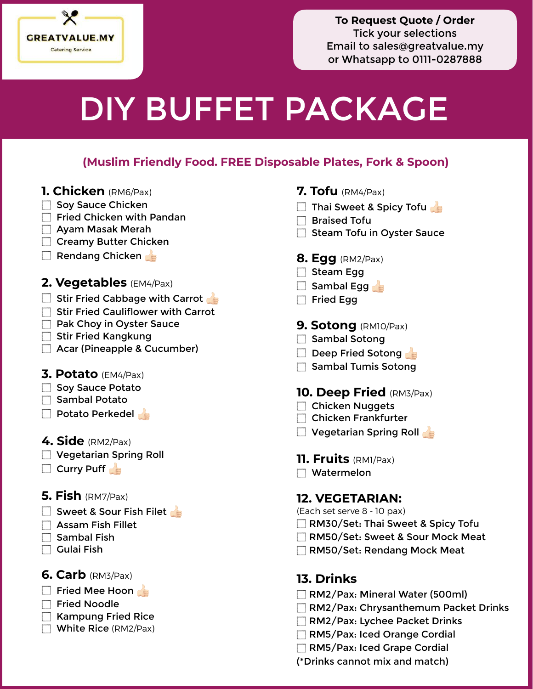

# DIY BUFFET PACKAGE

### **(Muslim Friendly Food. FREE Disposable Plates, Fork & Spoon)**

- **1. Chicken** (RM6/Pax)
- Soy Sauce Chicken
- $\Box$  Fried Chicken with Pandan
- Ayam Masak Merah
- Creamy Butter Chicken
- Rendang Chicken
- **2. Vegetables** (EM4/Pax)
- $\Box$  Stir Fried Cabbage with Carrot
- $\Box$  Stir Fried Cauliflower with Carrot
- **Pak Choy in Oyster Sauce**
- Stir Fried Kangkung
- Acar (Pineapple & Cucumber)
- **3. Potato** (EM4/Pax)
- Soy Sauce Potato
- $\Box$  Sambal Potato
- **Potato Perkedel**
- **4. Side** (RM2/Pax)
- Vegetarian Spring Roll
- $\Box$  Curry Puff
- **5. Fish** (RM7/Pax)
- Sweet & Sour Fish Filet
- Assam Fish Fillet
- $\Box$  Sambal Fish
- $\Box$  Gulai Fish
- **6. Carb** (RM3/Pax)
- Fried Mee Hoon
- $\Box$  Fried Noodle
- $\Box$  Kampung Fried Rice
- White Rice (RM2/Pax)
- **7. Tofu** (RM4/Pax)
- $\Box$  Thai Sweet & Spicy Tofu
- $\Box$  Braised Tofu
- $\Box$  Steam Tofu in Oyster Sauce
- **8. Egg** (RM2/Pax)
- Steam Egg
- $\Box$  Sambal Egg
- $\Box$  Fried Egg
- **9. Sotong** (RM10/Pax)
- $\Box$  Sambal Sotong
- Deep Fried Sotong
- $\Box$  Sambal Tumis Sotong

#### **10. Deep Fried** (RM3/Pax)

- Chicken Nuggets
- Chicken Frankfurter
- Vegetarian Spring Roll
- **11. Fruits** (RM1/Pax)
- Watermelon

### **12. VEGETARIAN:**

- (Each set serve 8 10 pax)
- RM30/Set: Thai Sweet & Spicy Tofu
- RM50/Set: Sweet & Sour Mock Meat
- RM50/Set: Rendang Mock Meat

#### **13. Drinks**

- RM2/Pax: Mineral Water (500ml)
- RM2/Pax: Chrysanthemum Packet Drinks
- RM2/Pax: Lychee Packet Drinks
- RM5/Pax: Iced Orange Cordial
- RM5/Pax: Iced Grape Cordial
- (\*Drinks cannot mix and match)